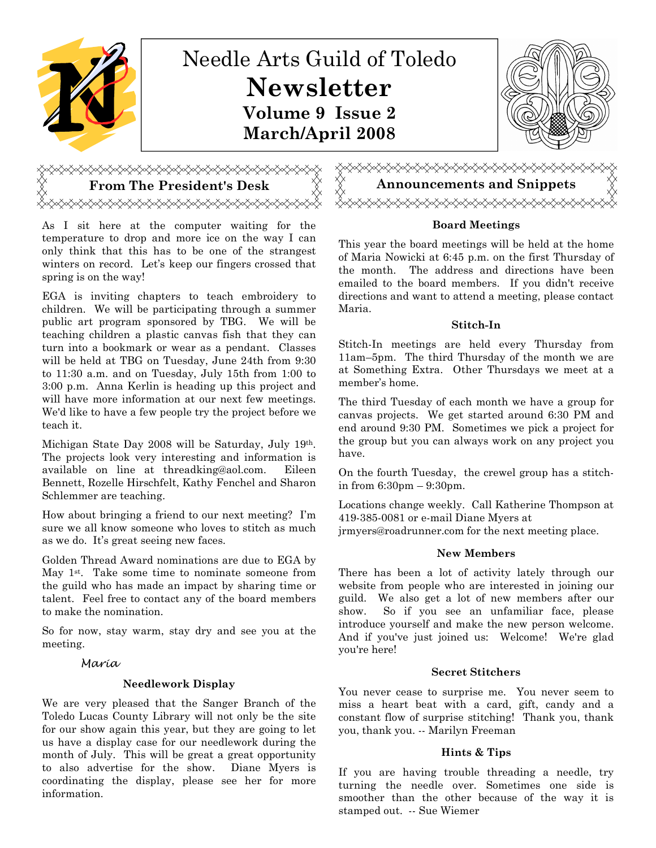

# <del></del>

As I sit here at the computer waiting for the temperature to drop and more ice on the way I can only think that this has to be one of the strangest winters on record. Let's keep our fingers crossed that spring is on the way!

EGA is inviting chapters to teach embroidery to children. We will be participating through a summer public art program sponsored by TBG. We will be teaching children a plastic canvas fish that they can turn into a bookmark or wear as a pendant. Classes will be held at TBG on Tuesday, June 24th from 9:30 to 11:30 a.m. and on Tuesday, July 15th from 1:00 to 3:00 p.m. Anna Kerlin is heading up this project and will have more information at our next few meetings. We'd like to have a few people try the project before we teach it.

Michigan State Day 2008 will be Saturday, July 19th. The projects look very interesting and information is available on line at threadking@aol.com. Eileen Bennett, Rozelle Hirschfelt, Kathy Fenchel and Sharon Schlemmer are teaching.

How about bringing a friend to our next meeting? I'm sure we all know someone who loves to stitch as much as we do. It's great seeing new faces.

Golden Thread Award nominations are due to EGA by May 1st. Take some time to nominate someone from the guild who has made an impact by sharing time or talent. Feel free to contact any of the board members to make the nomination.

So for now, stay warm, stay dry and see you at the meeting.

#### Maria

#### Needlework Display

We are very pleased that the Sanger Branch of the Toledo Lucas County Library will not only be the site for our show again this year, but they are going to let us have a display case for our needlework during the month of July. This will be great a great opportunity to also advertise for the show. Diane Myers is coordinating the display, please see her for more information.



#### Board Meetings

This year the board meetings will be held at the home of Maria Nowicki at 6:45 p.m. on the first Thursday of the month. The address and directions have been emailed to the board members. If you didn't receive directions and want to attend a meeting, please contact Maria.

#### Stitch-In

Stitch-In meetings are held every Thursday from 11am–5pm. The third Thursday of the month we are at Something Extra. Other Thursdays we meet at a member's home.

The third Tuesday of each month we have a group for canvas projects. We get started around 6:30 PM and end around 9:30 PM. Sometimes we pick a project for the group but you can always work on any project you have.

On the fourth Tuesday, the crewel group has a stitchin from 6:30pm – 9:30pm.

Locations change weekly. Call Katherine Thompson at 419-385-0081 or e-mail Diane Myers at jrmyers@roadrunner.com for the next meeting place.

#### New Members

There has been a lot of activity lately through our website from people who are interested in joining our guild. We also get a lot of new members after our show. So if you see an unfamiliar face, please introduce yourself and make the new person welcome. And if you've just joined us: Welcome! We're glad you're here!

#### Secret Stitchers

You never cease to surprise me. You never seem to miss a heart beat with a card, gift, candy and a constant flow of surprise stitching! Thank you, thank you, thank you. -- Marilyn Freeman

#### Hints & Tips

If you are having trouble threading a needle, try turning the needle over. Sometimes one side is smoother than the other because of the way it is stamped out. -- Sue Wiemer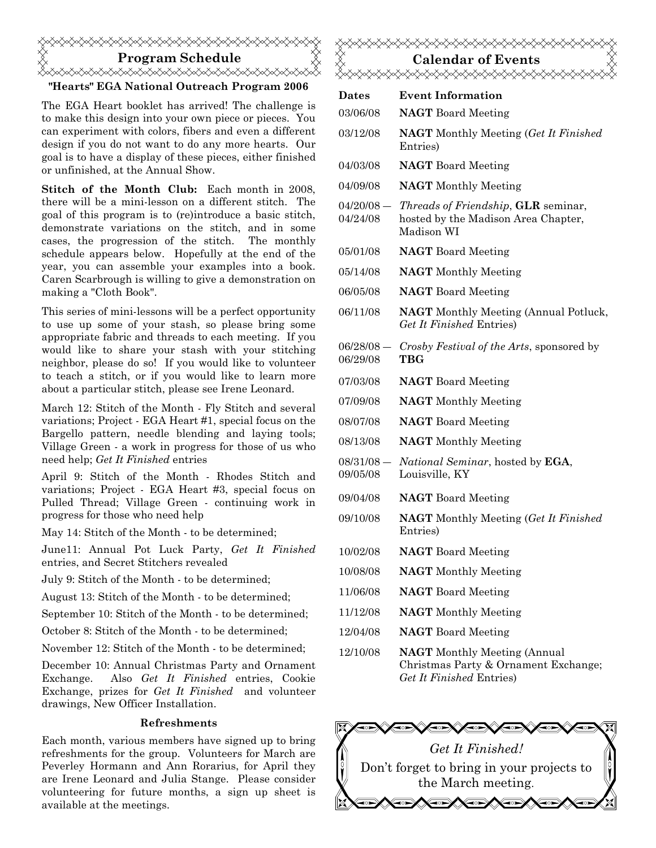# Program Schedule <del></del> "Hearts" EGA National Outreach Program 2006

The EGA Heart booklet has arrived! The challenge is to make this design into your own piece or pieces. You can experiment with colors, fibers and even a different design if you do not want to do any more hearts. Our goal is to have a display of these pieces, either finished or unfinished, at the Annual Show.

Stitch of the Month Club: Each month in 2008, there will be a mini-lesson on a different stitch. The goal of this program is to (re)introduce a basic stitch, demonstrate variations on the stitch, and in some cases, the progression of the stitch. The monthly schedule appears below. Hopefully at the end of the year, you can assemble your examples into a book. Caren Scarbrough is willing to give a demonstration on making a "Cloth Book".

This series of mini-lessons will be a perfect opportunity to use up some of your stash, so please bring some appropriate fabric and threads to each meeting. If you would like to share your stash with your stitching neighbor, please do so! If you would like to volunteer to teach a stitch, or if you would like to learn more about a particular stitch, please see Irene Leonard.

March 12: Stitch of the Month - Fly Stitch and several variations; Project - EGA Heart #1, special focus on the Bargello pattern, needle blending and laying tools; Village Green - a work in progress for those of us who need help; Get It Finished entries

April 9: Stitch of the Month - Rhodes Stitch and variations; Project - EGA Heart #3, special focus on Pulled Thread; Village Green - continuing work in progress for those who need help

May 14: Stitch of the Month - to be determined;

June11: Annual Pot Luck Party, Get It Finished entries, and Secret Stitchers revealed

July 9: Stitch of the Month - to be determined;

August 13: Stitch of the Month - to be determined;

September 10: Stitch of the Month - to be determined;

October 8: Stitch of the Month - to be determined;

November 12: Stitch of the Month - to be determined;

December 10: Annual Christmas Party and Ornament Exchange. Also Get It Finished entries, Cookie Exchange, prizes for Get It Finished and volunteer drawings, New Officer Installation.

#### Refreshments

Each month, various members have signed up to bring refreshments for the group. Volunteers for March are Peverley Hormann and Ann Rorarius, for April they are Irene Leonard and Julia Stange. Please consider volunteering for future months, a sign up sheet is available at the meetings.



| Dates                    | <b>Event Information</b>                                                                                |
|--------------------------|---------------------------------------------------------------------------------------------------------|
| 03/06/08                 | <b>NAGT</b> Board Meeting                                                                               |
| 03/12/08                 | <b>NAGT</b> Monthly Meeting (Get It Finished)<br>Entries)                                               |
| 04/03/08                 | <b>NAGT</b> Board Meeting                                                                               |
| 04/09/08                 | <b>NAGT</b> Monthly Meeting                                                                             |
| $04/20/08 -$<br>04/24/08 | Threads of Friendship, GLR seminar,<br>hosted by the Madison Area Chapter,<br>Madison WI                |
| 05/01/08                 | <b>NAGT</b> Board Meeting                                                                               |
| 05/14/08                 | <b>NAGT</b> Monthly Meeting                                                                             |
| 06/05/08                 | <b>NAGT</b> Board Meeting                                                                               |
| 06/11/08                 | <b>NAGT</b> Monthly Meeting (Annual Potluck,<br>Get It Finished Entries)                                |
| $06/28/08 -$<br>06/29/08 | Crosby Festival of the Arts, sponsored by<br><b>TBG</b>                                                 |
| 07/03/08                 | <b>NAGT</b> Board Meeting                                                                               |
| 07/09/08                 | <b>NAGT</b> Monthly Meeting                                                                             |
| 08/07/08                 | <b>NAGT</b> Board Meeting                                                                               |
| 08/13/08                 | <b>NAGT</b> Monthly Meeting                                                                             |
| $08/31/08 -$<br>09/05/08 | <i>National Seminar</i> , hosted by <b>EGA</b> ,<br>Louisville, KY                                      |
| 09/04/08                 | <b>NAGT</b> Board Meeting                                                                               |
| 09/10/08                 | <b>NAGT</b> Monthly Meeting (Get It Finished<br>Entries)                                                |
| 10/02/08                 | <b>NAGT</b> Board Meeting                                                                               |
| 10/08/08                 | <b>NAGT</b> Monthly Meeting                                                                             |
| 11/06/08                 | <b>NAGT</b> Board Meeting                                                                               |
| 11/12/08                 | <b>NAGT</b> Monthly Meeting                                                                             |
| 12/04/08                 | <b>NAGT</b> Board Meeting                                                                               |
| 12/10/08                 | <b>NAGT</b> Monthly Meeting (Annual<br>Christmas Party & Ornament Exchange;<br>Get It Finished Entries) |

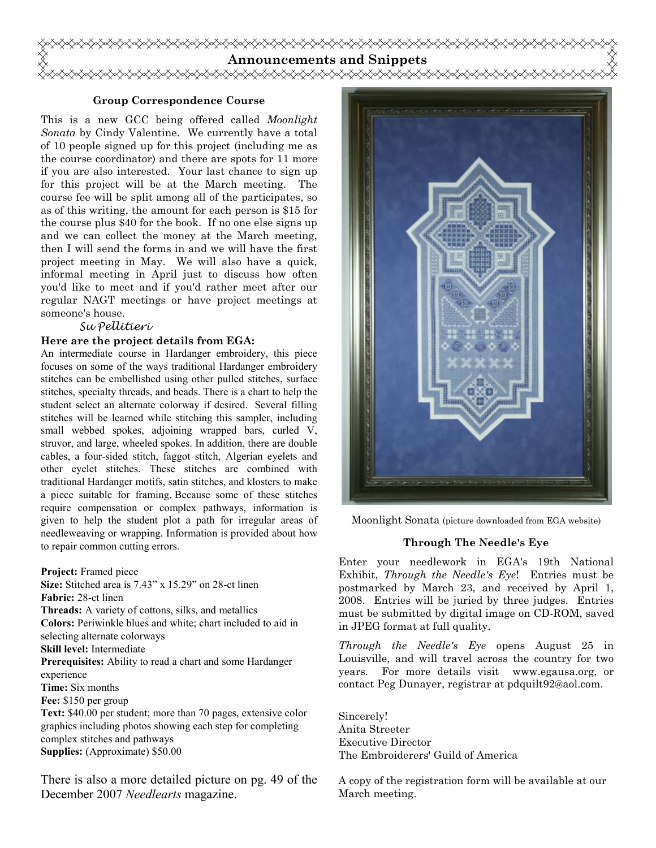

#### Group Correspondence Course

This is a new GCC being offered called *Moonlight* Sonata by Cindy Valentine. We currently have a total of 10 people signed up for this project (including me as the course coordinator) and there are spots for 11 more if you are also interested. Your last chance to sign up for this project will be at the March meeting. The course fee will be split among all of the participates, so as of this writing, the amount for each person is \$15 for the course plus \$40 for the book. If no one else signs up and we can collect the money at the March meeting, then I will send the forms in and we will have the first project meeting in May. We will also have a quick, informal meeting in April just to discuss how often you'd like to meet and if you'd rather meet after our regular NAGT meetings or have project meetings at someone's house.

#### Su Pellitieri

#### Here are the project details from EGA:

An intermediate course in Hardanger embroidery, this piece focuses on some of the ways traditional Hardanger embroidery stitches can be embellished using other pulled stitches, surface stitches, specialty threads, and beads. There is a chart to help the student select an alternate colorway if desired. Several filling stitches will be learned while stitching this sampler, including small webbed spokes, adjoining wrapped bars, curled V, struvor, and large, wheeled spokes. In addition, there are double cables, a four-sided stitch, faggot stitch, Algerian eyelets and other eyelet stitches. These stitches are combined with traditional Hardanger motifs, satin stitches, and klosters to make a piece suitable for framing. Because some of these stitches require compensation or complex pathways, information is given to help the student plot a path for irregular areas of needleweaving or wrapping. Information is provided about how to repair common cutting errors.

Project: Framed piece

Size: Stitched area is  $7.43$ " x 15.29" on 28-ct linen Fabric: 28-ct linen Threads: A variety of cottons, silks, and metallics Colors: Periwinkle blues and white; chart included to aid in selecting alternate colorways Skill level: Intermediate Prerequisites: Ability to read a chart and some Hardanger experience Time: Six months Fee: \$150 per group Text: \$40.00 per student; more than 70 pages, extensive color graphics including photos showing each step for completing complex stitches and pathways

Supplies: (Approximate) \$50.00

There is also a more detailed picture on pg. 49 of the December 2007 Needlearts magazine.



Moonlight Sonata (picture downloaded from EGA website)

#### Through The Needle's Eye

Enter your needlework in EGA's 19th National Exhibit, Through the Needle's Eye! Entries must be postmarked by March 23, and received by April 1, 2008. Entries will be juried by three judges. Entries must be submitted by digital image on CD-ROM, saved in JPEG format at full quality.

Through the Needle's Eye opens August 25 in Louisville, and will travel across the country for two years. For more details visit www.egausa.org, or contact Peg Dunayer, registrar at pdquilt92@aol.com.

Sincerely! Anita Streeter Executive Director The Embroiderers' Guild of America

A copy of the registration form will be available at our March meeting.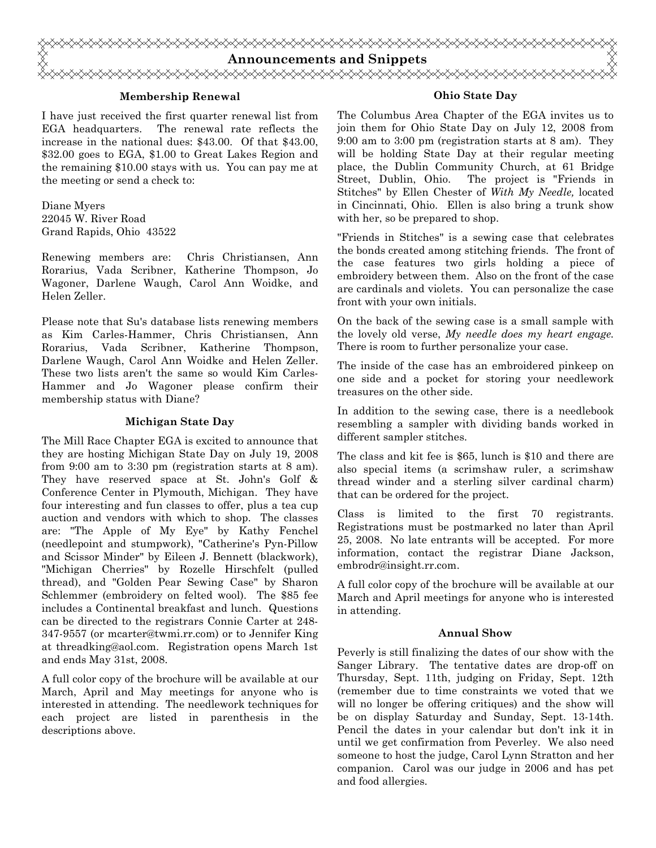

#### Membership Renewal

I have just received the first quarter renewal list from EGA headquarters. The renewal rate reflects the increase in the national dues: \$43.00. Of that \$43.00, \$32.00 goes to EGA, \$1.00 to Great Lakes Region and the remaining \$10.00 stays with us. You can pay me at the meeting or send a check to:

Diane Myers 22045 W. River Road Grand Rapids, Ohio 43522

Renewing members are: Chris Christiansen, Ann Rorarius, Vada Scribner, Katherine Thompson, Jo Wagoner, Darlene Waugh, Carol Ann Woidke, and Helen Zeller.

Please note that Su's database lists renewing members as Kim Carles-Hammer, Chris Christiansen, Ann Rorarius, Vada Scribner, Katherine Thompson, Darlene Waugh, Carol Ann Woidke and Helen Zeller. These two lists aren't the same so would Kim Carles-Hammer and Jo Wagoner please confirm their membership status with Diane?

#### Michigan State Day

The Mill Race Chapter EGA is excited to announce that they are hosting Michigan State Day on July 19, 2008 from 9:00 am to 3:30 pm (registration starts at 8 am). They have reserved space at St. John's Golf & Conference Center in Plymouth, Michigan. They have four interesting and fun classes to offer, plus a tea cup auction and vendors with which to shop. The classes are: "The Apple of My Eye" by Kathy Fenchel (needlepoint and stumpwork), "Catherine's Pyn-Pillow and Scissor Minder" by Eileen J. Bennett (blackwork), "Michigan Cherries" by Rozelle Hirschfelt (pulled thread), and "Golden Pear Sewing Case" by Sharon Schlemmer (embroidery on felted wool). The \$85 fee includes a Continental breakfast and lunch. Questions can be directed to the registrars Connie Carter at 248- 347-9557 (or mcarter@twmi.rr.com) or to Jennifer King at threadking@aol.com. Registration opens March 1st and ends May 31st, 2008.

A full color copy of the brochure will be available at our March, April and May meetings for anyone who is interested in attending. The needlework techniques for each project are listed in parenthesis in the descriptions above.

#### Ohio State Day

The Columbus Area Chapter of the EGA invites us to join them for Ohio State Day on July 12, 2008 from 9:00 am to 3:00 pm (registration starts at 8 am). They will be holding State Day at their regular meeting place, the Dublin Community Church, at 61 Bridge Street, Dublin, Ohio. The project is "Friends in Stitches" by Ellen Chester of With My Needle, located in Cincinnati, Ohio. Ellen is also bring a trunk show with her, so be prepared to shop.

"Friends in Stitches" is a sewing case that celebrates the bonds created among stitching friends. The front of the case features two girls holding a piece of embroidery between them. Also on the front of the case are cardinals and violets. You can personalize the case front with your own initials.

On the back of the sewing case is a small sample with the lovely old verse, My needle does my heart engage. There is room to further personalize your case.

The inside of the case has an embroidered pinkeep on one side and a pocket for storing your needlework treasures on the other side.

In addition to the sewing case, there is a needlebook resembling a sampler with dividing bands worked in different sampler stitches.

The class and kit fee is \$65, lunch is \$10 and there are also special items (a scrimshaw ruler, a scrimshaw thread winder and a sterling silver cardinal charm) that can be ordered for the project.

Class is limited to the first 70 registrants. Registrations must be postmarked no later than April 25, 2008. No late entrants will be accepted. For more information, contact the registrar Diane Jackson, embrodr@insight.rr.com.

A full color copy of the brochure will be available at our March and April meetings for anyone who is interested in attending.

#### Annual Show

Peverly is still finalizing the dates of our show with the Sanger Library. The tentative dates are drop-off on Thursday, Sept. 11th, judging on Friday, Sept. 12th (remember due to time constraints we voted that we will no longer be offering critiques) and the show will be on display Saturday and Sunday, Sept. 13-14th. Pencil the dates in your calendar but don't ink it in until we get confirmation from Peverley. We also need someone to host the judge, Carol Lynn Stratton and her companion. Carol was our judge in 2006 and has pet and food allergies.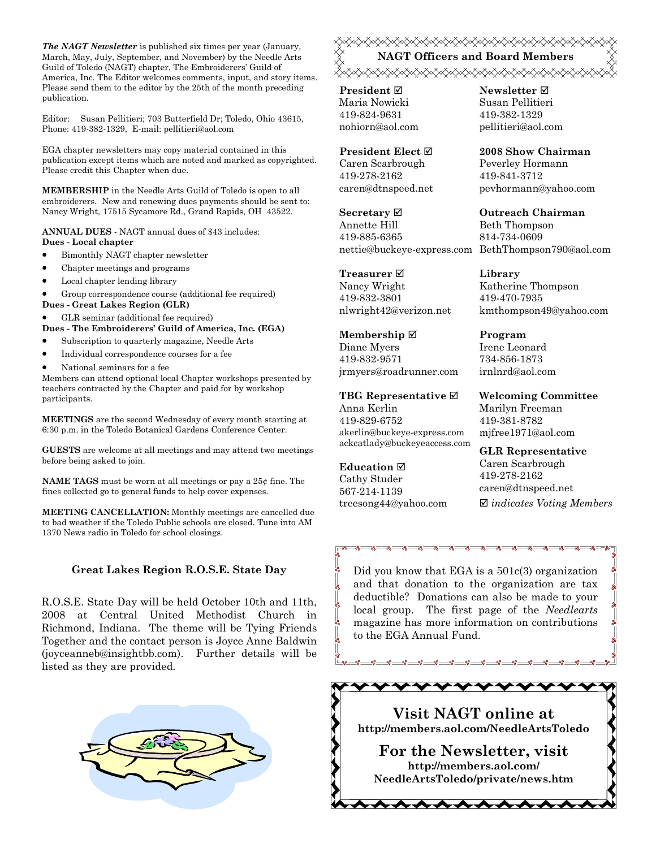The NAGT Newsletter is published six times per year (January, March, May, July, September, and November) by the Needle Arts Guild of Toledo (NAGT) chapter, The Embroiderers' Guild of America, Inc. The Editor welcomes comments, input, and story items. Please send them to the editor by the 25th of the month preceding publication.

Editor: Susan Pellitieri; 703 Butterfield Dr; Toledo, Ohio 43615, Phone: 419-382-1329, E-mail: pellitieri@aol.com

EGA chapter newsletters may copy material contained in this publication except items which are noted and marked as copyrighted. Please credit this Chapter when due.

MEMBERSHIP in the Needle Arts Guild of Toledo is open to all embroiderers. New and renewing dues payments should be sent to: Nancy Wright, 17515 Sycamore Rd., Grand Rapids, OH 43522.

ANNUAL DUES - NAGT annual dues of \$43 includes: Dues - Local chapter

- Bimonthly NAGT chapter newsletter
- Chapter meetings and programs
- Local chapter lending library

• Group correspondence course (additional fee required)

Dues - Great Lakes Region (GLR)

• GLR seminar (additional fee required)

Dues - The Embroiderers' Guild of America, Inc. (EGA)

- Subscription to quarterly magazine, Needle Arts
- Individual correspondence courses for a fee
- National seminars for a fee

Members can attend optional local Chapter workshops presented by teachers contracted by the Chapter and paid for by workshop participants.

MEETINGS are the second Wednesday of every month starting at 6:30 p.m. in the Toledo Botanical Gardens Conference Center.

GUESTS are welcome at all meetings and may attend two meetings before being asked to join.

**NAME TAGS** must be worn at all meetings or pay a  $25¢$  fine. The fines collected go to general funds to help cover expenses.

MEETING CANCELLATION: Monthly meetings are cancelled due to bad weather if the Toledo Public schools are closed. Tune into AM 1370 News radio in Toledo for school closings.

#### Great Lakes Region R.O.S.E. State Day

R.O.S.E. State Day will be held October 10th and 11th, 2008 at Central United Methodist Church in Richmond, Indiana. The theme will be Tying Friends Together and the contact person is Joyce Anne Baldwin (joyceanneb@insightbb.com). Further details will be listed as they are provided.



### **«XXXXXXXXXXXXXXXXXXXXXXXXXX** NAGT Officers and Board Members ≪⋟⋠⋟⋠⋟⋠⋟⋠⋟⋠⋟⋠⋟⋠⋟⋠⋟⋠⋟⋠⋟⋠⋟⋠⋟⋠⋟⋠⋟⋠⋟⋠

**President** ⊠ Maria Nowicki 419-824-9631 nohiorn@aol.com

President Elect Caren Scarbrough 419-278-2162 caren@dtnspeed.net

Secretary ⊠ Annette Hill 419-885-6365 nettie@buckeye-express.com BethThompson790@aol.com

Treasurer **⊠** Nancy Wright 419-832-3801 nlwright42@verizon.net

Membership ⊠ Diane Myers 419-832-9571 jrmyers@roadrunner.com

TBG Representative  $□$ Anna Kerlin 419-829-6752 akerlin@buckeye-express.com ackcatlady@buckeyeaccess.com

#### Education  $\boxtimes$

Cathy Studer 567-214-1139 treesong44@yahoo.com Newsletter **Ø** Susan Pellitieri 419-382-1329 pellitieri@aol.com

2008 Show Chairman Peverley Hormann 419-841-3712

pevhormann@yahoo.com

Outreach Chairman Beth Thompson 814-734-0609

Library Katherine Thompson 419-470-7935 kmthompson49@yahoo.com

Program Irene Leonard 734-856-1873 irnlnrd@aol.com

Welcoming Committee Marilyn Freeman 419-381-8782 mjfree1971@aol.com

GLR Representative Caren Scarbrough 419-278-2162 caren@dtnspeed.net  $\boxtimes$  indicates Voting Members

Did you know that EGA is a 501c(3) organization and that donation to the organization are tax deductible? Donations can also be made to your local group. The first page of the Needlearts magazine has more information on contributions to the EGA Annual Fund.